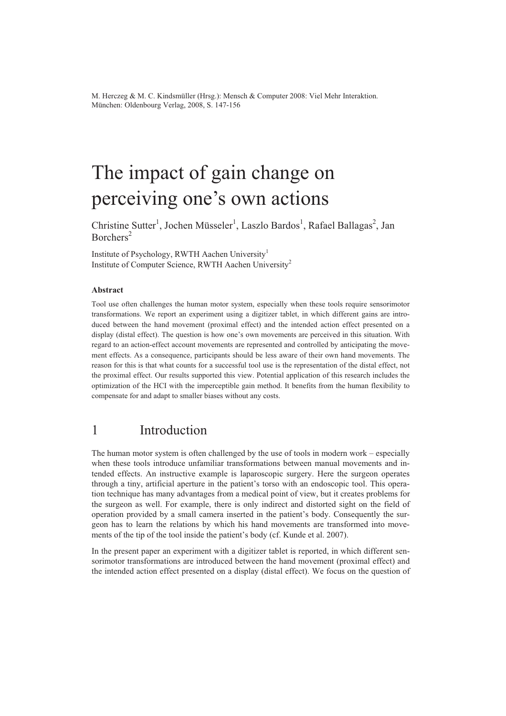M. Herczeg & M. C. Kindsmüller (Hrsg.): Mensch & Computer 2008: Viel Mehr Interaktion. München: Oldenbourg Verlag, 2008, S. 147-156

# The impact of gain change on perceiving one's own actions

Christine Sutter<sup>1</sup>, Jochen Müsseler<sup>1</sup>, Laszlo Bardos<sup>1</sup>, Rafael Ballagas<sup>2</sup>, Jan  $Borchers<sup>2</sup>$ 

Institute of Psychology, RWTH Aachen University<sup>1</sup> Institute of Computer Science, RWTH Aachen University<sup>2</sup>

#### **Abstract**

Tool use often challenges the human motor system, especially when these tools require sensorimotor transformations. We report an experiment using a digitizer tablet, in which different gains are introduced between the hand movement (proximal effect) and the intended action effect presented on a display (distal effect). The question is how one's own movements are perceived in this situation. With regard to an action-effect account movements are represented and controlled by anticipating the movement effects. As a consequence, participants should be less aware of their own hand movements. The reason for this is that what counts for a successful tool use is the representation of the distal effect, not the proximal effect. Our results supported this view. Potential application of this research includes the optimization of the HCI with the imperceptible gain method. It benefits from the human flexibility to compensate for and adapt to smaller biases without any costs.

### 1 Introduction

The human motor system is often challenged by the use of tools in modern work – especially when these tools introduce unfamiliar transformations between manual movements and intended effects. An instructive example is laparoscopic surgery. Here the surgeon operates through a tiny, artificial aperture in the patient's torso with an endoscopic tool. This operation technique has many advantages from a medical point of view, but it creates problems for the surgeon as well. For example, there is only indirect and distorted sight on the field of operation provided by a small camera inserted in the patient's body. Consequently the surgeon has to learn the relations by which his hand movements are transformed into movements of the tip of the tool inside the patient's body (cf. Kunde et al. 2007).

In the present paper an experiment with a digitizer tablet is reported, in which different sensorimotor transformations are introduced between the hand movement (proximal effect) and the intended action effect presented on a display (distal effect). We focus on the question of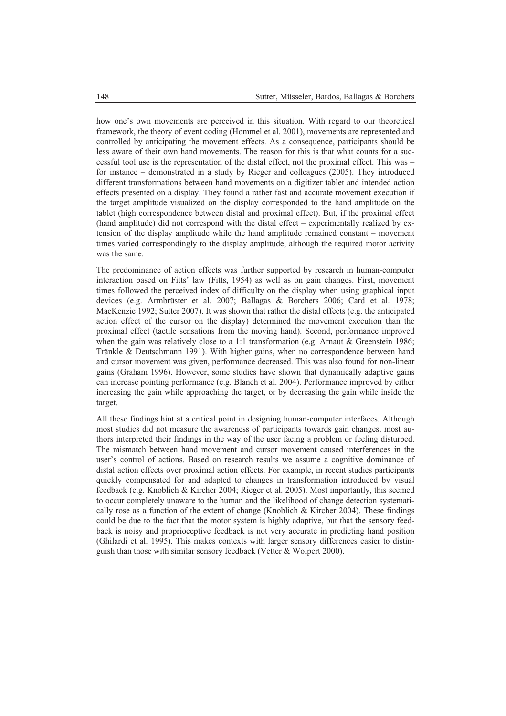how one's own movements are perceived in this situation. With regard to our theoretical framework, the theory of event coding (Hommel et al. 2001), movements are represented and controlled by anticipating the movement effects. As a consequence, participants should be less aware of their own hand movements. The reason for this is that what counts for a successful tool use is the representation of the distal effect, not the proximal effect. This was – for instance – demonstrated in a study by Rieger and colleagues (2005). They introduced different transformations between hand movements on a digitizer tablet and intended action effects presented on a display. They found a rather fast and accurate movement execution if the target amplitude visualized on the display corresponded to the hand amplitude on the tablet (high correspondence between distal and proximal effect). But, if the proximal effect (hand amplitude) did not correspond with the distal effect – experimentally realized by extension of the display amplitude while the hand amplitude remained constant – movement times varied correspondingly to the display amplitude, although the required motor activity was the same.

The predominance of action effects was further supported by research in human-computer interaction based on Fitts' law (Fitts, 1954) as well as on gain changes. First, movement times followed the perceived index of difficulty on the display when using graphical input devices (e.g. Armbrüster et al. 2007; Ballagas & Borchers 2006; Card et al. 1978; MacKenzie 1992; Sutter 2007). It was shown that rather the distal effects (e.g. the anticipated action effect of the cursor on the display) determined the movement execution than the proximal effect (tactile sensations from the moving hand). Second, performance improved when the gain was relatively close to a 1:1 transformation (e.g. Arnaut  $\&$  Greenstein 1986; Tränkle & Deutschmann 1991). With higher gains, when no correspondence between hand and cursor movement was given, performance decreased. This was also found for non-linear gains (Graham 1996). However, some studies have shown that dynamically adaptive gains can increase pointing performance (e.g. Blanch et al. 2004). Performance improved by either increasing the gain while approaching the target, or by decreasing the gain while inside the target.

All these findings hint at a critical point in designing human-computer interfaces. Although most studies did not measure the awareness of participants towards gain changes, most authors interpreted their findings in the way of the user facing a problem or feeling disturbed. The mismatch between hand movement and cursor movement caused interferences in the user's control of actions. Based on research results we assume a cognitive dominance of distal action effects over proximal action effects. For example, in recent studies participants quickly compensated for and adapted to changes in transformation introduced by visual feedback (e.g. Knoblich & Kircher 2004; Rieger et al. 2005). Most importantly, this seemed to occur completely unaware to the human and the likelihood of change detection systematically rose as a function of the extent of change (Knoblich & Kircher 2004). These findings could be due to the fact that the motor system is highly adaptive, but that the sensory feedback is noisy and proprioceptive feedback is not very accurate in predicting hand position (Ghilardi et al. 1995). This makes contexts with larger sensory differences easier to distinguish than those with similar sensory feedback (Vetter & Wolpert 2000).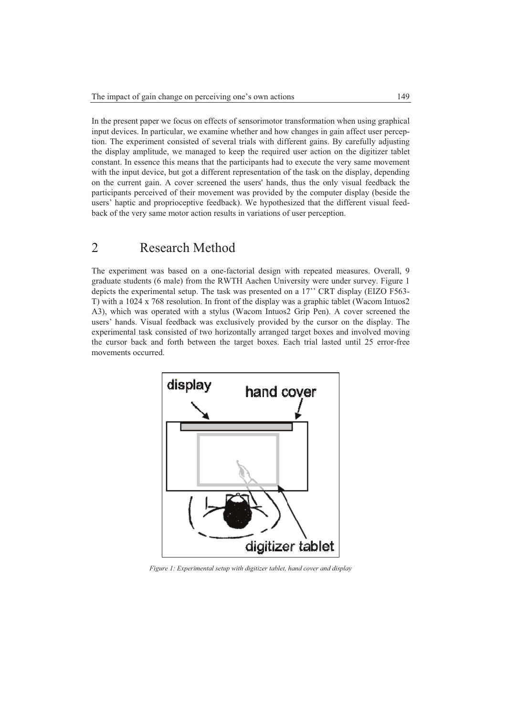In the present paper we focus on effects of sensorimotor transformation when using graphical input devices. In particular, we examine whether and how changes in gain affect user perception. The experiment consisted of several trials with different gains. By carefully adjusting the display amplitude, we managed to keep the required user action on the digitizer tablet constant. In essence this means that the participants had to execute the very same movement with the input device, but got a different representation of the task on the display, depending on the current gain. A cover screened the users' hands, thus the only visual feedback the participants perceived of their movement was provided by the computer display (beside the users' haptic and proprioceptive feedback). We hypothesized that the different visual feedback of the very same motor action results in variations of user perception.

# 2 Research Method

The experiment was based on a one-factorial design with repeated measures. Overall, 9 graduate students (6 male) from the RWTH Aachen University were under survey. Figure 1 depicts the experimental setup. The task was presented on a 17'' CRT display (EIZO F563- T) with a 1024 x 768 resolution. In front of the display was a graphic tablet (Wacom Intuos2 A3), which was operated with a stylus (Wacom Intuos2 Grip Pen). A cover screened the users' hands. Visual feedback was exclusively provided by the cursor on the display. The experimental task consisted of two horizontally arranged target boxes and involved moving the cursor back and forth between the target boxes. Each trial lasted until 25 error-free movements occurred.



*Figure 1: Experimental setup with digitizer tablet, hand cover and display*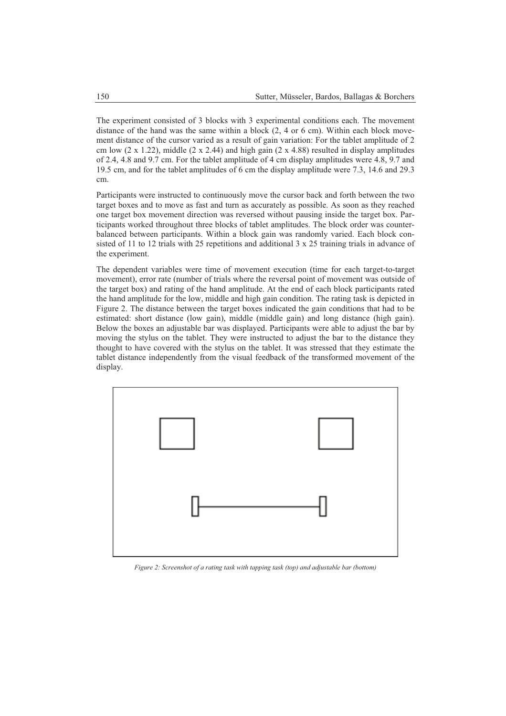The experiment consisted of 3 blocks with 3 experimental conditions each. The movement distance of the hand was the same within a block  $(2, 4 \text{ or } 6 \text{ cm})$ . Within each block movement distance of the cursor varied as a result of gain variation: For the tablet amplitude of 2 cm low  $(2 \times 1.22)$ , middle  $(2 \times 2.44)$  and high gain  $(2 \times 4.88)$  resulted in display amplitudes of 2.4, 4.8 and 9.7 cm. For the tablet amplitude of 4 cm display amplitudes were 4.8, 9.7 and 19.5 cm, and for the tablet amplitudes of 6 cm the display amplitude were 7.3, 14.6 and 29.3 cm.

Participants were instructed to continuously move the cursor back and forth between the two target boxes and to move as fast and turn as accurately as possible. As soon as they reached one target box movement direction was reversed without pausing inside the target box. Participants worked throughout three blocks of tablet amplitudes. The block order was counterbalanced between participants. Within a block gain was randomly varied. Each block consisted of 11 to 12 trials with 25 repetitions and additional 3 x 25 training trials in advance of the experiment.

The dependent variables were time of movement execution (time for each target-to-target movement), error rate (number of trials where the reversal point of movement was outside of the target box) and rating of the hand amplitude. At the end of each block participants rated the hand amplitude for the low, middle and high gain condition. The rating task is depicted in Figure 2. The distance between the target boxes indicated the gain conditions that had to be estimated: short distance (low gain), middle (middle gain) and long distance (high gain). Below the boxes an adjustable bar was displayed. Participants were able to adjust the bar by moving the stylus on the tablet. They were instructed to adjust the bar to the distance they thought to have covered with the stylus on the tablet. It was stressed that they estimate the tablet distance independently from the visual feedback of the transformed movement of the display.



*Figure 2: Screenshot of a rating task with tapping task (top) and adjustable bar (bottom)*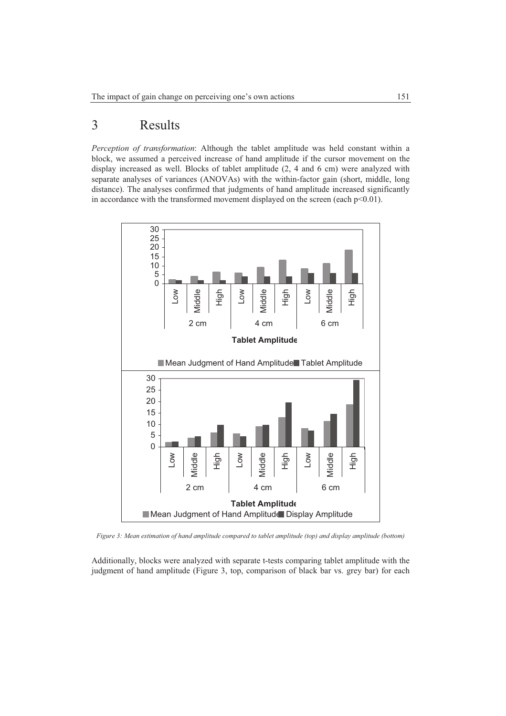# 3 Results

*Perception of transformation*: Although the tablet amplitude was held constant within a block, we assumed a perceived increase of hand amplitude if the cursor movement on the display increased as well. Blocks of tablet amplitude (2, 4 and 6 cm) were analyzed with separate analyses of variances (ANOVAs) with the within-factor gain (short, middle, long distance). The analyses confirmed that judgments of hand amplitude increased significantly in accordance with the transformed movement displayed on the screen (each  $p<0.01$ ).



*Figure 3: Mean estimation of hand amplitude compared to tablet amplitude (top) and display amplitude (bottom)* 

Additionally, blocks were analyzed with separate t-tests comparing tablet amplitude with the judgment of hand amplitude (Figure 3, top, comparison of black bar vs. grey bar) for each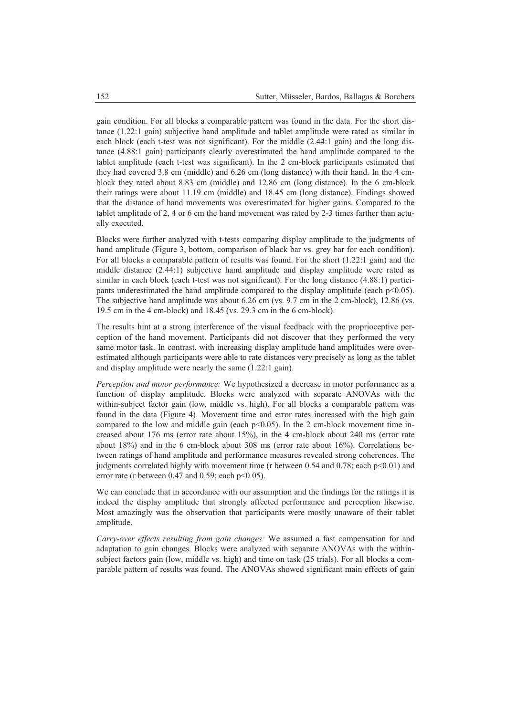gain condition. For all blocks a comparable pattern was found in the data. For the short distance (1.22:1 gain) subjective hand amplitude and tablet amplitude were rated as similar in each block (each t-test was not significant). For the middle (2.44:1 gain) and the long distance (4.88:1 gain) participants clearly overestimated the hand amplitude compared to the tablet amplitude (each t-test was significant). In the 2 cm-block participants estimated that they had covered 3.8 cm (middle) and 6.26 cm (long distance) with their hand. In the 4 cmblock they rated about 8.83 cm (middle) and 12.86 cm (long distance). In the 6 cm-block their ratings were about 11.19 cm (middle) and 18.45 cm (long distance). Findings showed that the distance of hand movements was overestimated for higher gains. Compared to the tablet amplitude of 2, 4 or 6 cm the hand movement was rated by 2-3 times farther than actually executed.

Blocks were further analyzed with t-tests comparing display amplitude to the judgments of hand amplitude (Figure 3, bottom, comparison of black bar vs. grey bar for each condition). For all blocks a comparable pattern of results was found. For the short (1.22:1 gain) and the middle distance (2.44:1) subjective hand amplitude and display amplitude were rated as similar in each block (each t-test was not significant). For the long distance (4.88:1) participants underestimated the hand amplitude compared to the display amplitude (each  $p<0.05$ ). The subjective hand amplitude was about 6.26 cm (vs. 9.7 cm in the 2 cm-block), 12.86 (vs. 19.5 cm in the 4 cm-block) and 18.45 (vs. 29.3 cm in the 6 cm-block).

The results hint at a strong interference of the visual feedback with the proprioceptive perception of the hand movement. Participants did not discover that they performed the very same motor task. In contrast, with increasing display amplitude hand amplitudes were overestimated although participants were able to rate distances very precisely as long as the tablet and display amplitude were nearly the same (1.22:1 gain).

*Perception and motor performance:* We hypothesized a decrease in motor performance as a function of display amplitude. Blocks were analyzed with separate ANOVAs with the within-subject factor gain (low, middle vs. high). For all blocks a comparable pattern was found in the data (Figure 4). Movement time and error rates increased with the high gain compared to the low and middle gain (each  $p<0.05$ ). In the 2 cm-block movement time increased about 176 ms (error rate about 15%), in the 4 cm-block about 240 ms (error rate about 18%) and in the 6 cm-block about 308 ms (error rate about 16%). Correlations between ratings of hand amplitude and performance measures revealed strong coherences. The judgments correlated highly with movement time (r between 0.54 and 0.78; each p<0.01) and error rate (r between  $0.47$  and  $0.59$ ; each  $p<0.05$ ).

We can conclude that in accordance with our assumption and the findings for the ratings it is indeed the display amplitude that strongly affected performance and perception likewise. Most amazingly was the observation that participants were mostly unaware of their tablet amplitude.

*Carry-over effects resulting from gain changes:* We assumed a fast compensation for and adaptation to gain changes. Blocks were analyzed with separate ANOVAs with the withinsubject factors gain (low, middle vs. high) and time on task (25 trials). For all blocks a comparable pattern of results was found. The ANOVAs showed significant main effects of gain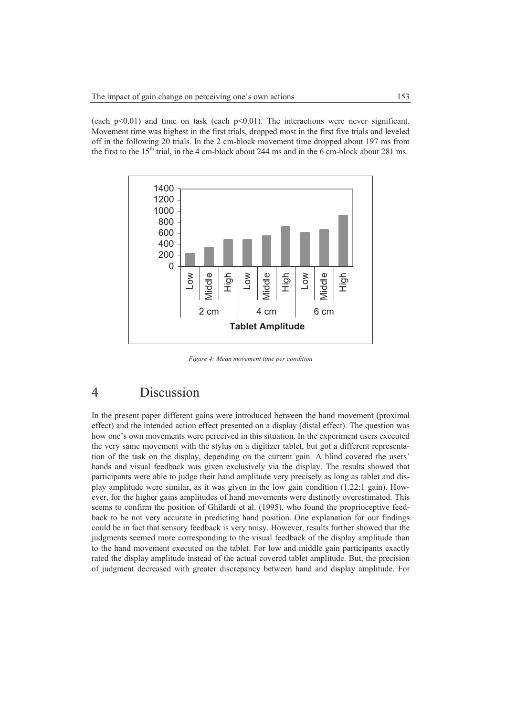(each  $p<0.01$ ) and time on task (each  $p<0.01$ ). The interactions were never significant. Movement time was highest in the first trials, dropped most in the first five trials and leveled off in the following 20 trials. In the 2 cm-block movement time dropped about 197 ms from the first to the  $15<sup>th</sup>$  trial, in the 4 cm-block about 244 ms and in the 6 cm-block about 281 ms.



*Figure 4: Mean movement time per condition* 

# 4 Discussion

In the present paper different gains were introduced between the hand movement (proximal effect) and the intended action effect presented on a display (distal effect). The question was how one's own movements were perceived in this situation. In the experiment users executed the very same movement with the stylus on a digitizer tablet, but got a different representation of the task on the display, depending on the current gain. A blind covered the users' hands and visual feedback was given exclusively via the display. The results showed that participants were able to judge their hand amplitude very precisely as long as tablet and display amplitude were similar, as it was given in the low gain condition (1.22:1 gain). However, for the higher gains amplitudes of hand movements were distinctly overestimated. This seems to confirm the position of Ghilardi et al. (1995), who found the proprioceptive feedback to be not very accurate in predicting hand position. One explanation for our findings could be in fact that sensory feedback is very noisy. However, results further showed that the judgments seemed more corresponding to the visual feedback of the display amplitude than to the hand movement executed on the tablet. For low and middle gain participants exactly rated the display amplitude instead of the actual covered tablet amplitude. But, the precision of judgment decreased with greater discrepancy between hand and display amplitude. For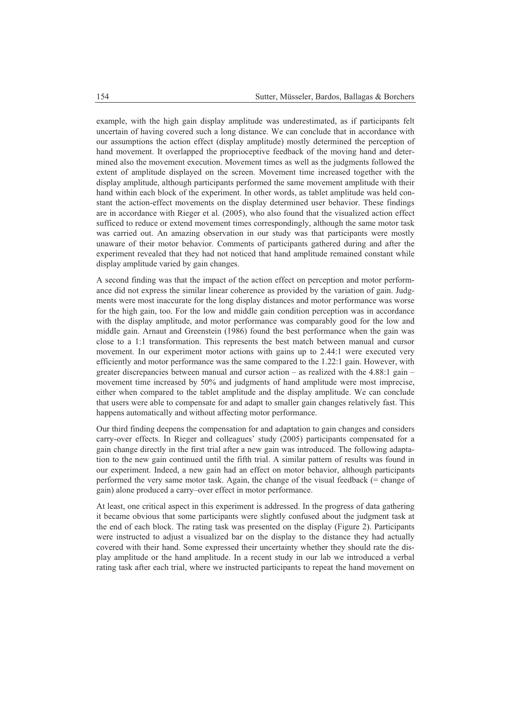example, with the high gain display amplitude was underestimated, as if participants felt uncertain of having covered such a long distance. We can conclude that in accordance with our assumptions the action effect (display amplitude) mostly determined the perception of hand movement. It overlapped the proprioceptive feedback of the moving hand and determined also the movement execution. Movement times as well as the judgments followed the extent of amplitude displayed on the screen. Movement time increased together with the display amplitude, although participants performed the same movement amplitude with their hand within each block of the experiment. In other words, as tablet amplitude was held constant the action-effect movements on the display determined user behavior. These findings are in accordance with Rieger et al. (2005), who also found that the visualized action effect sufficed to reduce or extend movement times correspondingly, although the same motor task was carried out. An amazing observation in our study was that participants were mostly unaware of their motor behavior. Comments of participants gathered during and after the experiment revealed that they had not noticed that hand amplitude remained constant while display amplitude varied by gain changes.

A second finding was that the impact of the action effect on perception and motor performance did not express the similar linear coherence as provided by the variation of gain. Judgments were most inaccurate for the long display distances and motor performance was worse for the high gain, too. For the low and middle gain condition perception was in accordance with the display amplitude, and motor performance was comparably good for the low and middle gain. Arnaut and Greenstein (1986) found the best performance when the gain was close to a 1:1 transformation. This represents the best match between manual and cursor movement. In our experiment motor actions with gains up to 2.44:1 were executed very efficiently and motor performance was the same compared to the 1.22:1 gain. However, with greater discrepancies between manual and cursor action – as realized with the  $4.88:1$  gain – movement time increased by 50% and judgments of hand amplitude were most imprecise, either when compared to the tablet amplitude and the display amplitude. We can conclude that users were able to compensate for and adapt to smaller gain changes relatively fast. This happens automatically and without affecting motor performance.

Our third finding deepens the compensation for and adaptation to gain changes and considers carry-over effects. In Rieger and colleagues' study (2005) participants compensated for a gain change directly in the first trial after a new gain was introduced. The following adaptation to the new gain continued until the fifth trial. A similar pattern of results was found in our experiment. Indeed, a new gain had an effect on motor behavior, although participants performed the very same motor task. Again, the change of the visual feedback (= change of gain) alone produced a carry–over effect in motor performance.

At least, one critical aspect in this experiment is addressed. In the progress of data gathering it became obvious that some participants were slightly confused about the judgment task at the end of each block. The rating task was presented on the display (Figure 2). Participants were instructed to adjust a visualized bar on the display to the distance they had actually covered with their hand. Some expressed their uncertainty whether they should rate the display amplitude or the hand amplitude. In a recent study in our lab we introduced a verbal rating task after each trial, where we instructed participants to repeat the hand movement on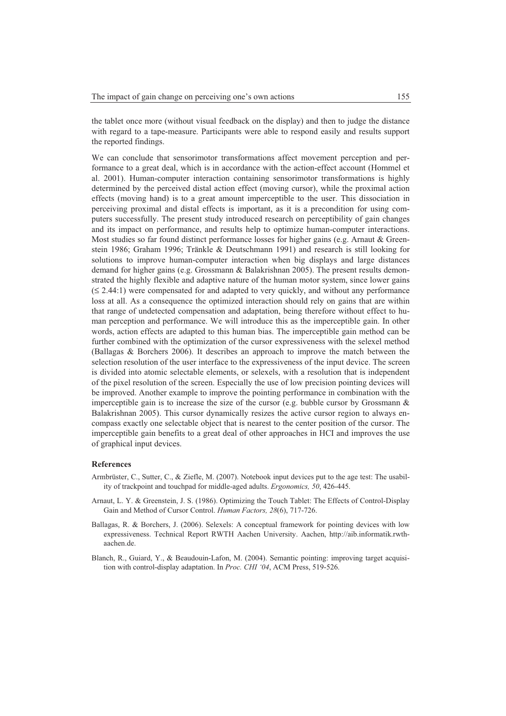the tablet once more (without visual feedback on the display) and then to judge the distance with regard to a tape-measure. Participants were able to respond easily and results support the reported findings.

We can conclude that sensorimotor transformations affect movement perception and performance to a great deal, which is in accordance with the action-effect account (Hommel et al. 2001). Human-computer interaction containing sensorimotor transformations is highly determined by the perceived distal action effect (moving cursor), while the proximal action effects (moving hand) is to a great amount imperceptible to the user. This dissociation in perceiving proximal and distal effects is important, as it is a precondition for using computers successfully. The present study introduced research on perceptibility of gain changes and its impact on performance, and results help to optimize human-computer interactions. Most studies so far found distinct performance losses for higher gains (e.g. Arnaut & Greenstein 1986; Graham 1996; Tränkle & Deutschmann 1991) and research is still looking for solutions to improve human-computer interaction when big displays and large distances demand for higher gains (e.g. Grossmann & Balakrishnan 2005). The present results demonstrated the highly flexible and adaptive nature of the human motor system, since lower gains  $(\leq 2.44:1)$  were compensated for and adapted to very quickly, and without any performance loss at all. As a consequence the optimized interaction should rely on gains that are within that range of undetected compensation and adaptation, being therefore without effect to human perception and performance. We will introduce this as the imperceptible gain. In other words, action effects are adapted to this human bias. The imperceptible gain method can be further combined with the optimization of the cursor expressiveness with the selexel method (Ballagas & Borchers 2006). It describes an approach to improve the match between the selection resolution of the user interface to the expressiveness of the input device. The screen is divided into atomic selectable elements, or selexels, with a resolution that is independent of the pixel resolution of the screen. Especially the use of low precision pointing devices will be improved. Another example to improve the pointing performance in combination with the imperceptible gain is to increase the size of the cursor (e.g. bubble cursor by Grossmann  $\&$ Balakrishnan 2005). This cursor dynamically resizes the active cursor region to always encompass exactly one selectable object that is nearest to the center position of the cursor. The imperceptible gain benefits to a great deal of other approaches in HCI and improves the use of graphical input devices.

### **References**

- Armbrüster, C., Sutter, C., & Ziefle, M. (2007). Notebook input devices put to the age test: The usability of trackpoint and touchpad for middle-aged adults. *Ergonomics, 50*, 426-445.
- Arnaut, L. Y. & Greenstein, J. S. (1986). Optimizing the Touch Tablet: The Effects of Control-Display Gain and Method of Cursor Control. *Human Factors, 28*(6), 717-726.
- Ballagas, R. & Borchers, J. (2006). Selexels: A conceptual framework for pointing devices with low expressiveness. Technical Report RWTH Aachen University. Aachen, http://aib.informatik.rwthaachen.de.
- Blanch, R., Guiard, Y., & Beaudouin-Lafon, M. (2004). Semantic pointing: improving target acquisition with control-display adaptation. In *Proc. CHI '04*, ACM Press, 519-526.